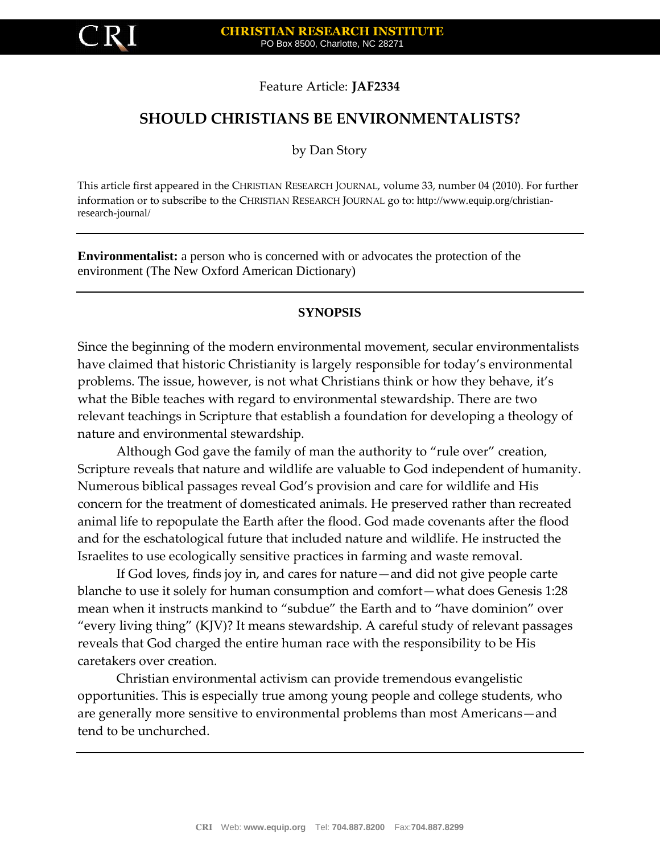

#### Feature Article: **JAF2334**

# **SHOULD CHRISTIANS BE ENVIRONMENTALISTS?**

by Dan Story

This article first appeared in the CHRISTIAN RESEARCH JOURNAL, volume 33, number 04 (2010). For further information or to subscribe to the CHRISTIAN RESEARCH JOURNAL go to: http://www.equip.org/christianresearch-journal/

**Environmentalist:** a person who is concerned with or advocates the protection of the environment (The New Oxford American Dictionary)

#### **SYNOPSIS**

Since the beginning of the modern environmental movement, secular environmentalists have claimed that historic Christianity is largely responsible for today's environmental problems. The issue, however, is not what Christians think or how they behave, it's what the Bible teaches with regard to environmental stewardship. There are two relevant teachings in Scripture that establish a foundation for developing a theology of nature and environmental stewardship.

Although God gave the family of man the authority to "rule over" creation, Scripture reveals that nature and wildlife are valuable to God independent of humanity. Numerous biblical passages reveal God's provision and care for wildlife and His concern for the treatment of domesticated animals. He preserved rather than recreated animal life to repopulate the Earth after the flood. God made covenants after the flood and for the eschatological future that included nature and wildlife. He instructed the Israelites to use ecologically sensitive practices in farming and waste removal.

If God loves, finds joy in, and cares for nature—and did not give people carte blanche to use it solely for human consumption and comfort—what does Genesis 1:28 mean when it instructs mankind to "subdue" the Earth and to "have dominion" over "every living thing" (KJV)? It means stewardship. A careful study of relevant passages reveals that God charged the entire human race with the responsibility to be His caretakers over creation.

Christian environmental activism can provide tremendous evangelistic opportunities. This is especially true among young people and college students, who are generally more sensitive to environmental problems than most Americans—and tend to be unchurched.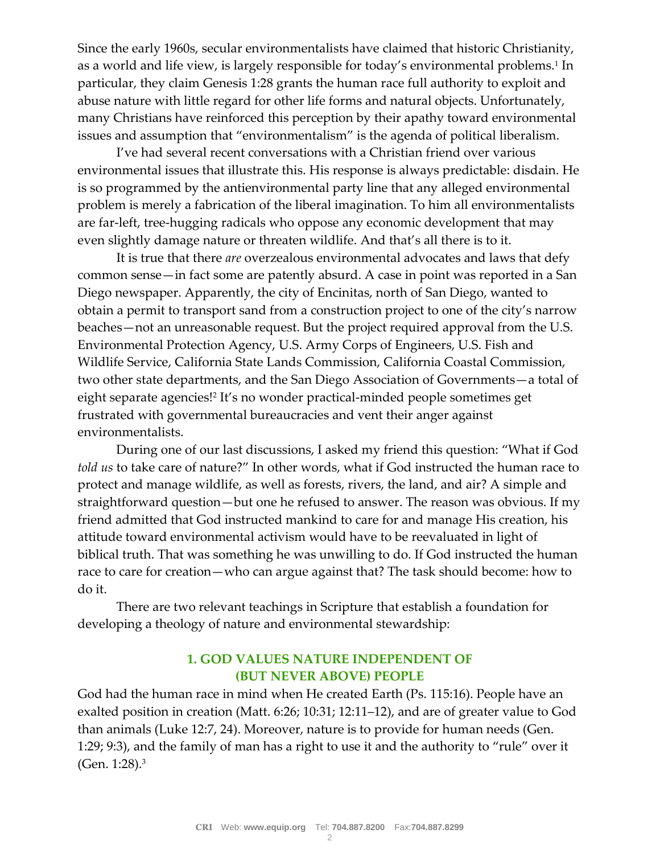Since the early 1960s, secular environmentalists have claimed that historic Christianity, as a world and life view, is largely responsible for today's environmental problems.<sup>1</sup> In particular, they claim Genesis 1:28 grants the human race full authority to exploit and abuse nature with little regard for other life forms and natural objects. Unfortunately, many Christians have reinforced this perception by their apathy toward environmental issues and assumption that "environmentalism" is the agenda of political liberalism.

I've had several recent conversations with a Christian friend over various environmental issues that illustrate this. His response is always predictable: disdain. He is so programmed by the antienvironmental party line that any alleged environmental problem is merely a fabrication of the liberal imagination. To him all environmentalists are far-left, tree-hugging radicals who oppose any economic development that may even slightly damage nature or threaten wildlife. And that's all there is to it.

It is true that there *are* overzealous environmental advocates and laws that defy common sense—in fact some are patently absurd. A case in point was reported in a San Diego newspaper. Apparently, the city of Encinitas, north of San Diego, wanted to obtain a permit to transport sand from a construction project to one of the city's narrow beaches—not an unreasonable request. But the project required approval from the U.S. Environmental Protection Agency, U.S. Army Corps of Engineers, U.S. Fish and Wildlife Service, California State Lands Commission, California Coastal Commission, two other state departments, and the San Diego Association of Governments—a total of eight separate agencies!<sup>2</sup> It's no wonder practical-minded people sometimes get frustrated with governmental bureaucracies and vent their anger against environmentalists.

During one of our last discussions, I asked my friend this question: "What if God *told us* to take care of nature?" In other words, what if God instructed the human race to protect and manage wildlife, as well as forests, rivers, the land, and air? A simple and straightforward question—but one he refused to answer. The reason was obvious. If my friend admitted that God instructed mankind to care for and manage His creation, his attitude toward environmental activism would have to be reevaluated in light of biblical truth. That was something he was unwilling to do. If God instructed the human race to care for creation—who can argue against that? The task should become: how to do it.

There are two relevant teachings in Scripture that establish a foundation for developing a theology of nature and environmental stewardship:

## **1. GOD VALUES NATURE INDEPENDENT OF (BUT NEVER ABOVE) PEOPLE**

God had the human race in mind when He created Earth (Ps. 115:16). People have an exalted position in creation (Matt. 6:26; 10:31; 12:11–12), and are of greater value to God than animals (Luke 12:7, 24). Moreover, nature is to provide for human needs (Gen. 1:29; 9:3), and the family of man has a right to use it and the authority to "rule" over it (Gen. 1:28).<sup>3</sup>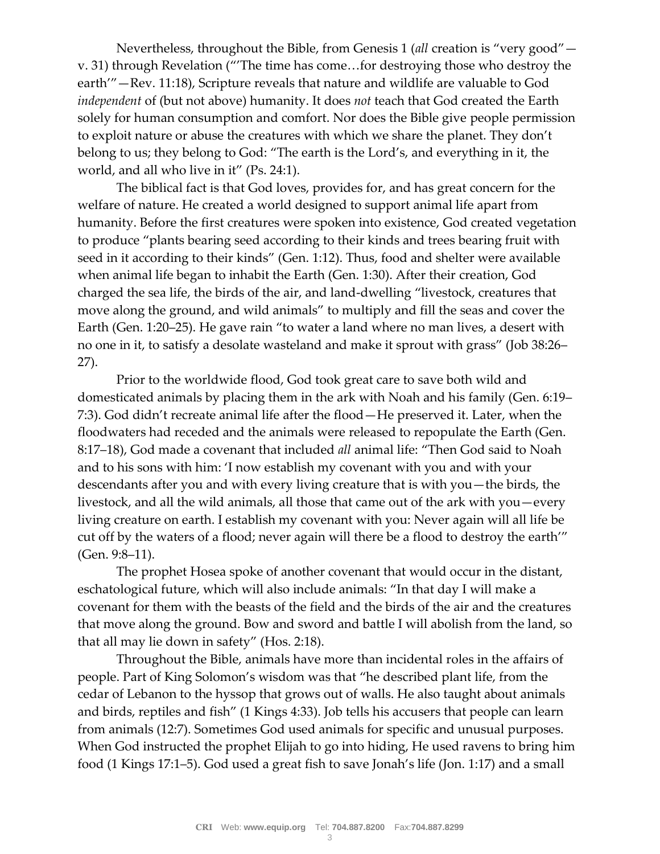Nevertheless, throughout the Bible, from Genesis 1 (*all* creation is "very good" v. 31) through Revelation ("'The time has come…for destroying those who destroy the earth'"—Rev. 11:18), Scripture reveals that nature and wildlife are valuable to God *independent* of (but not above) humanity. It does *not* teach that God created the Earth solely for human consumption and comfort. Nor does the Bible give people permission to exploit nature or abuse the creatures with which we share the planet. They don't belong to us; they belong to God: "The earth is the Lord's, and everything in it, the world, and all who live in it" (Ps. 24:1).

The biblical fact is that God loves, provides for, and has great concern for the welfare of nature. He created a world designed to support animal life apart from humanity. Before the first creatures were spoken into existence, God created vegetation to produce "plants bearing seed according to their kinds and trees bearing fruit with seed in it according to their kinds" (Gen. 1:12). Thus, food and shelter were available when animal life began to inhabit the Earth (Gen. 1:30). After their creation, God charged the sea life, the birds of the air, and land-dwelling "livestock, creatures that move along the ground, and wild animals" to multiply and fill the seas and cover the Earth (Gen. 1:20–25). He gave rain "to water a land where no man lives, a desert with no one in it, to satisfy a desolate wasteland and make it sprout with grass" (Job 38:26– 27).

Prior to the worldwide flood, God took great care to save both wild and domesticated animals by placing them in the ark with Noah and his family (Gen. 6:19– 7:3). God didn't recreate animal life after the flood—He preserved it. Later, when the floodwaters had receded and the animals were released to repopulate the Earth (Gen. 8:17–18), God made a covenant that included *all* animal life: "Then God said to Noah and to his sons with him: 'I now establish my covenant with you and with your descendants after you and with every living creature that is with you—the birds, the livestock, and all the wild animals, all those that came out of the ark with you—every living creature on earth. I establish my covenant with you: Never again will all life be cut off by the waters of a flood; never again will there be a flood to destroy the earth'" (Gen. 9:8–11).

The prophet Hosea spoke of another covenant that would occur in the distant, eschatological future, which will also include animals: "In that day I will make a covenant for them with the beasts of the field and the birds of the air and the creatures that move along the ground. Bow and sword and battle I will abolish from the land, so that all may lie down in safety" (Hos. 2:18).

Throughout the Bible, animals have more than incidental roles in the affairs of people. Part of King Solomon's wisdom was that "he described plant life, from the cedar of Lebanon to the hyssop that grows out of walls. He also taught about animals and birds, reptiles and fish" (1 Kings 4:33). Job tells his accusers that people can learn from animals (12:7). Sometimes God used animals for specific and unusual purposes. When God instructed the prophet Elijah to go into hiding, He used ravens to bring him food (1 Kings 17:1–5). God used a great fish to save Jonah's life (Jon. 1:17) and a small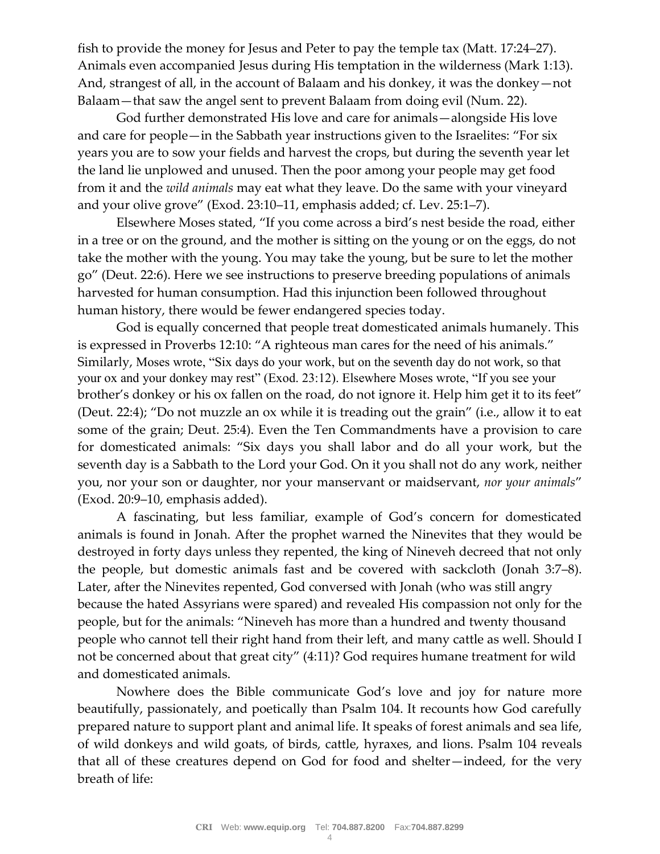fish to provide the money for Jesus and Peter to pay the temple tax (Matt. 17:24–27). Animals even accompanied Jesus during His temptation in the wilderness (Mark 1:13). And, strangest of all, in the account of Balaam and his donkey, it was the donkey—not Balaam—that saw the angel sent to prevent Balaam from doing evil (Num. 22).

God further demonstrated His love and care for animals—alongside His love and care for people—in the Sabbath year instructions given to the Israelites: "For six years you are to sow your fields and harvest the crops, but during the seventh year let the land lie unplowed and unused. Then the poor among your people may get food from it and the *wild animals* may eat what they leave. Do the same with your vineyard and your olive grove" (Exod. 23:10–11, emphasis added; cf. Lev. 25:1–7).

Elsewhere Moses stated, "If you come across a bird's nest beside the road, either in a tree or on the ground, and the mother is sitting on the young or on the eggs, do not take the mother with the young. You may take the young, but be sure to let the mother go" (Deut. 22:6). Here we see instructions to preserve breeding populations of animals harvested for human consumption. Had this injunction been followed throughout human history, there would be fewer endangered species today.

God is equally concerned that people treat domesticated animals humanely. This is expressed in Proverbs 12:10: "A righteous man cares for the need of his animals." Similarly, Moses wrote, "Six days do your work, but on the seventh day do not work, so that your ox and your donkey may rest" (Exod. 23:12). Elsewhere Moses wrote, "If you see your brother's donkey or his ox fallen on the road, do not ignore it. Help him get it to its feet" (Deut. 22:4); "Do not muzzle an ox while it is treading out the grain" (i.e., allow it to eat some of the grain; Deut. 25:4). Even the Ten Commandments have a provision to care for domesticated animals: "Six days you shall labor and do all your work, but the seventh day is a Sabbath to the Lord your God. On it you shall not do any work, neither you, nor your son or daughter, nor your manservant or maidservant, *nor your animals*" (Exod. 20:9–10, emphasis added).

A fascinating, but less familiar, example of God's concern for domesticated animals is found in Jonah. After the prophet warned the Ninevites that they would be destroyed in forty days unless they repented, the king of Nineveh decreed that not only the people, but domestic animals fast and be covered with sackcloth (Jonah 3:7–8). Later, after the Ninevites repented, God conversed with Jonah (who was still angry because the hated Assyrians were spared) and revealed His compassion not only for the people, but for the animals: "Nineveh has more than a hundred and twenty thousand people who cannot tell their right hand from their left, and many cattle as well. Should I not be concerned about that great city" (4:11)? God requires humane treatment for wild and domesticated animals.

Nowhere does the Bible communicate God's love and joy for nature more beautifully, passionately, and poetically than Psalm 104. It recounts how God carefully prepared nature to support plant and animal life. It speaks of forest animals and sea life, of wild donkeys and wild goats, of birds, cattle, hyraxes, and lions. Psalm 104 reveals that all of these creatures depend on God for food and shelter—indeed, for the very breath of life: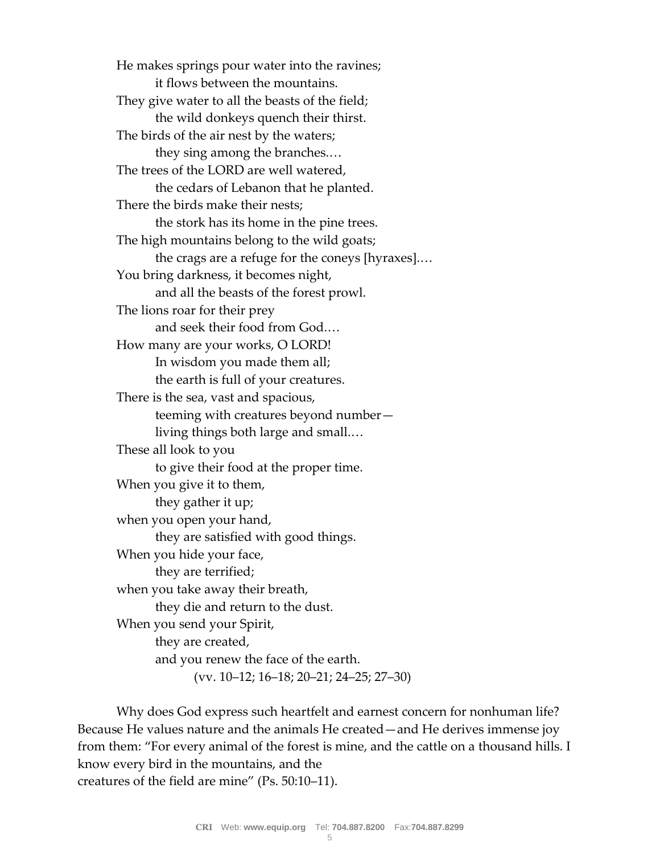He makes springs pour water into the ravines; it flows between the mountains. They give water to all the beasts of the field; the wild donkeys quench their thirst. The birds of the air nest by the waters; they sing among the branches.… The trees of the LORD are well watered, the cedars of Lebanon that he planted. There the birds make their nests; the stork has its home in the pine trees. The high mountains belong to the wild goats; the crags are a refuge for the coneys [hyraxes].… You bring darkness, it becomes night, and all the beasts of the forest prowl. The lions roar for their prey and seek their food from God.… How many are your works, O LORD! In wisdom you made them all; the earth is full of your creatures. There is the sea, vast and spacious, teeming with creatures beyond number living things both large and small.… These all look to you to give their food at the proper time. When you give it to them, they gather it up; when you open your hand, they are satisfied with good things. When you hide your face, they are terrified; when you take away their breath, they die and return to the dust. When you send your Spirit, they are created, and you renew the face of the earth. (vv. 10–12; 16–18; 20–21; 24–25; 27–30)

Why does God express such heartfelt and earnest concern for nonhuman life? Because He values nature and the animals He created—and He derives immense joy from them: "For every animal of the forest is mine, and the cattle on a thousand hills. I know every bird in the mountains, and the creatures of the field are mine" (Ps. 50:10–11).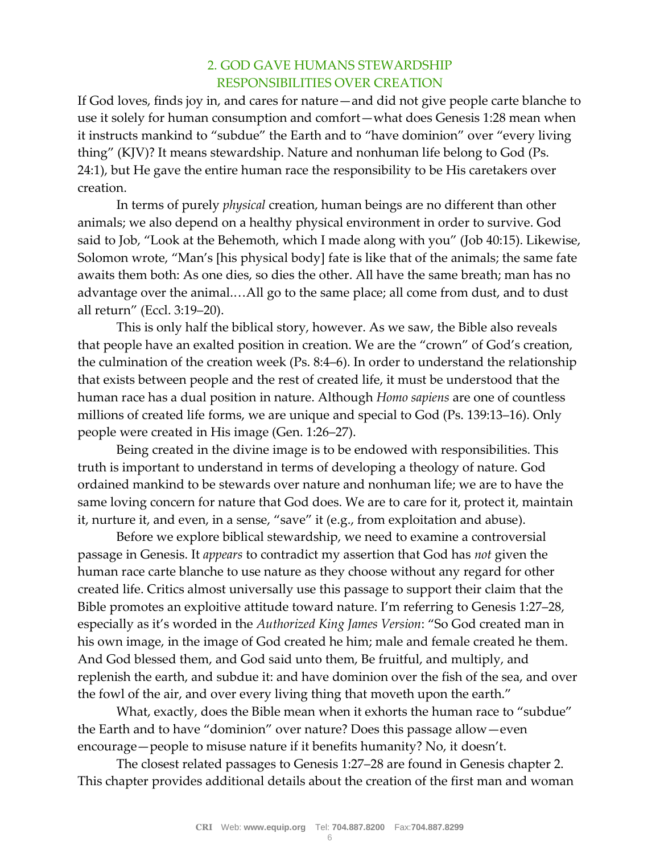## 2. GOD GAVE HUMANS STEWARDSHIP RESPONSIBILITIES OVER CREATION

If God loves, finds joy in, and cares for nature—and did not give people carte blanche to use it solely for human consumption and comfort—what does Genesis 1:28 mean when it instructs mankind to "subdue" the Earth and to "have dominion" over "every living thing" (KJV)? It means stewardship. Nature and nonhuman life belong to God (Ps. 24:1), but He gave the entire human race the responsibility to be His caretakers over creation.

In terms of purely *physical* creation, human beings are no different than other animals; we also depend on a healthy physical environment in order to survive. God said to Job, "Look at the Behemoth, which I made along with you" (Job 40:15). Likewise, Solomon wrote, "Man's [his physical body] fate is like that of the animals; the same fate awaits them both: As one dies, so dies the other. All have the same breath; man has no advantage over the animal.…All go to the same place; all come from dust, and to dust all return" (Eccl. 3:19–20).

This is only half the biblical story, however. As we saw, the Bible also reveals that people have an exalted position in creation. We are the "crown" of God's creation, the culmination of the creation week (Ps. 8:4–6). In order to understand the relationship that exists between people and the rest of created life, it must be understood that the human race has a dual position in nature. Although *Homo sapiens* are one of countless millions of created life forms, we are unique and special to God (Ps. 139:13–16). Only people were created in His image (Gen. 1:26–27).

Being created in the divine image is to be endowed with responsibilities. This truth is important to understand in terms of developing a theology of nature. God ordained mankind to be stewards over nature and nonhuman life; we are to have the same loving concern for nature that God does. We are to care for it, protect it, maintain it, nurture it, and even, in a sense, "save" it (e.g., from exploitation and abuse).

Before we explore biblical stewardship, we need to examine a controversial passage in Genesis. It *appears* to contradict my assertion that God has *not* given the human race carte blanche to use nature as they choose without any regard for other created life. Critics almost universally use this passage to support their claim that the Bible promotes an exploitive attitude toward nature. I'm referring to Genesis 1:27–28, especially as it's worded in the *Authorized King James Version*: "So God created man in his own image, in the image of God created he him; male and female created he them. And God blessed them, and God said unto them, Be fruitful, and multiply, and replenish the earth, and subdue it: and have dominion over the fish of the sea, and over the fowl of the air, and over every living thing that moveth upon the earth."

What, exactly, does the Bible mean when it exhorts the human race to "subdue" the Earth and to have "dominion" over nature? Does this passage allow—even encourage—people to misuse nature if it benefits humanity? No, it doesn't.

The closest related passages to Genesis 1:27–28 are found in Genesis chapter 2. This chapter provides additional details about the creation of the first man and woman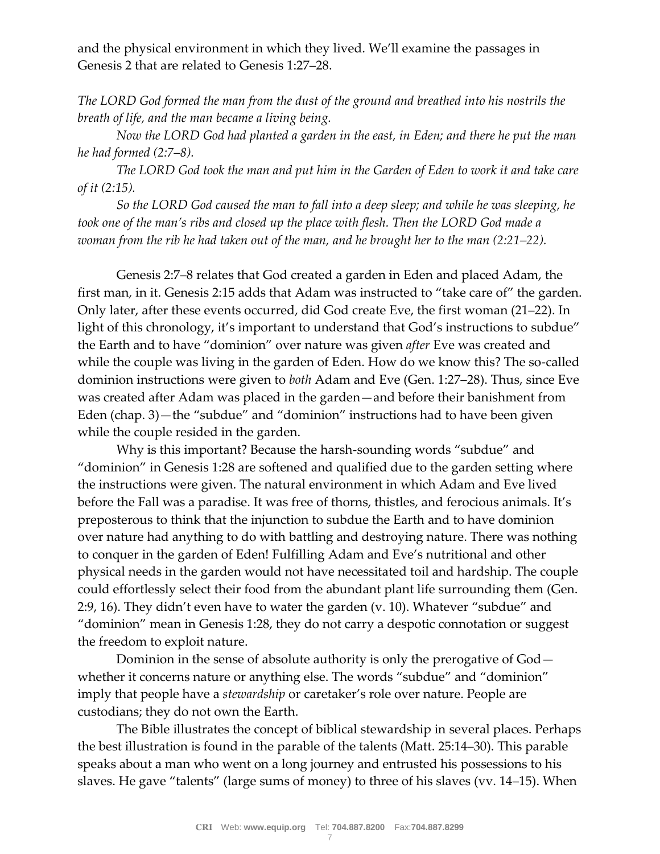and the physical environment in which they lived. We'll examine the passages in Genesis 2 that are related to Genesis 1:27–28.

*The LORD God formed the man from the dust of the ground and breathed into his nostrils the breath of life, and the man became a living being.*

*Now the LORD God had planted a garden in the east, in Eden; and there he put the man he had formed (2:7–8).*

*The LORD God took the man and put him in the Garden of Eden to work it and take care of it (2:15).*

*So the LORD God caused the man to fall into a deep sleep; and while he was sleeping, he took one of the man's ribs and closed up the place with flesh. Then the LORD God made a woman from the rib he had taken out of the man, and he brought her to the man (2:21–22).*

Genesis 2:7–8 relates that God created a garden in Eden and placed Adam, the first man, in it. Genesis 2:15 adds that Adam was instructed to "take care of" the garden. Only later, after these events occurred, did God create Eve, the first woman (21–22). In light of this chronology, it's important to understand that God's instructions to subdue" the Earth and to have "dominion" over nature was given *after* Eve was created and while the couple was living in the garden of Eden. How do we know this? The so-called dominion instructions were given to *both* Adam and Eve (Gen. 1:27–28). Thus, since Eve was created after Adam was placed in the garden—and before their banishment from Eden (chap. 3)—the "subdue" and "dominion" instructions had to have been given while the couple resided in the garden.

Why is this important? Because the harsh-sounding words "subdue" and "dominion" in Genesis 1:28 are softened and qualified due to the garden setting where the instructions were given. The natural environment in which Adam and Eve lived before the Fall was a paradise. It was free of thorns, thistles, and ferocious animals. It's preposterous to think that the injunction to subdue the Earth and to have dominion over nature had anything to do with battling and destroying nature. There was nothing to conquer in the garden of Eden! Fulfilling Adam and Eve's nutritional and other physical needs in the garden would not have necessitated toil and hardship. The couple could effortlessly select their food from the abundant plant life surrounding them (Gen. 2:9, 16). They didn't even have to water the garden (v. 10). Whatever "subdue" and "dominion" mean in Genesis 1:28, they do not carry a despotic connotation or suggest the freedom to exploit nature.

Dominion in the sense of absolute authority is only the prerogative of God whether it concerns nature or anything else. The words "subdue" and "dominion" imply that people have a *stewardship* or caretaker's role over nature. People are custodians; they do not own the Earth.

The Bible illustrates the concept of biblical stewardship in several places. Perhaps the best illustration is found in the parable of the talents (Matt. 25:14–30). This parable speaks about a man who went on a long journey and entrusted his possessions to his slaves. He gave "talents" (large sums of money) to three of his slaves (vv. 14–15). When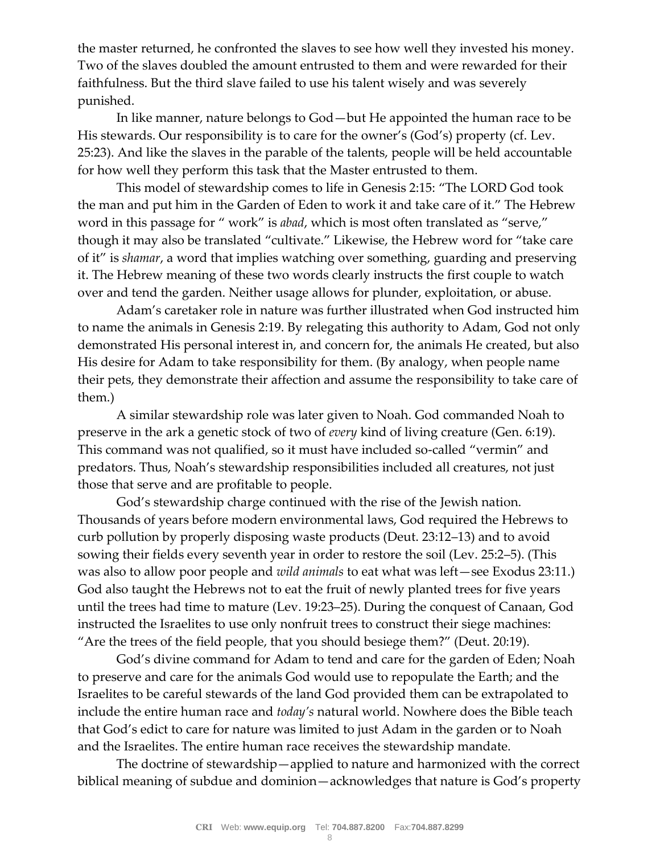the master returned, he confronted the slaves to see how well they invested his money. Two of the slaves doubled the amount entrusted to them and were rewarded for their faithfulness. But the third slave failed to use his talent wisely and was severely punished.

In like manner, nature belongs to God—but He appointed the human race to be His stewards. Our responsibility is to care for the owner's (God's) property (cf. Lev. 25:23). And like the slaves in the parable of the talents, people will be held accountable for how well they perform this task that the Master entrusted to them.

This model of stewardship comes to life in Genesis 2:15: "The LORD God took the man and put him in the Garden of Eden to work it and take care of it." The Hebrew word in this passage for " work" is *abad*, which is most often translated as "serve," though it may also be translated "cultivate." Likewise, the Hebrew word for "take care of it" is *shamar*, a word that implies watching over something, guarding and preserving it. The Hebrew meaning of these two words clearly instructs the first couple to watch over and tend the garden. Neither usage allows for plunder, exploitation, or abuse.

Adam's caretaker role in nature was further illustrated when God instructed him to name the animals in Genesis 2:19. By relegating this authority to Adam, God not only demonstrated His personal interest in, and concern for, the animals He created, but also His desire for Adam to take responsibility for them. (By analogy, when people name their pets, they demonstrate their affection and assume the responsibility to take care of them.)

A similar stewardship role was later given to Noah. God commanded Noah to preserve in the ark a genetic stock of two of *every* kind of living creature (Gen. 6:19). This command was not qualified, so it must have included so-called "vermin" and predators. Thus, Noah's stewardship responsibilities included all creatures, not just those that serve and are profitable to people.

God's stewardship charge continued with the rise of the Jewish nation. Thousands of years before modern environmental laws, God required the Hebrews to curb pollution by properly disposing waste products (Deut. 23:12–13) and to avoid sowing their fields every seventh year in order to restore the soil (Lev. 25:2–5). (This was also to allow poor people and *wild animals* to eat what was left—see Exodus 23:11.) God also taught the Hebrews not to eat the fruit of newly planted trees for five years until the trees had time to mature (Lev. 19:23–25). During the conquest of Canaan, God instructed the Israelites to use only nonfruit trees to construct their siege machines: "Are the trees of the field people, that you should besiege them?" (Deut. 20:19).

God's divine command for Adam to tend and care for the garden of Eden; Noah to preserve and care for the animals God would use to repopulate the Earth; and the Israelites to be careful stewards of the land God provided them can be extrapolated to include the entire human race and *today's* natural world. Nowhere does the Bible teach that God's edict to care for nature was limited to just Adam in the garden or to Noah and the Israelites. The entire human race receives the stewardship mandate.

The doctrine of stewardship—applied to nature and harmonized with the correct biblical meaning of subdue and dominion—acknowledges that nature is God's property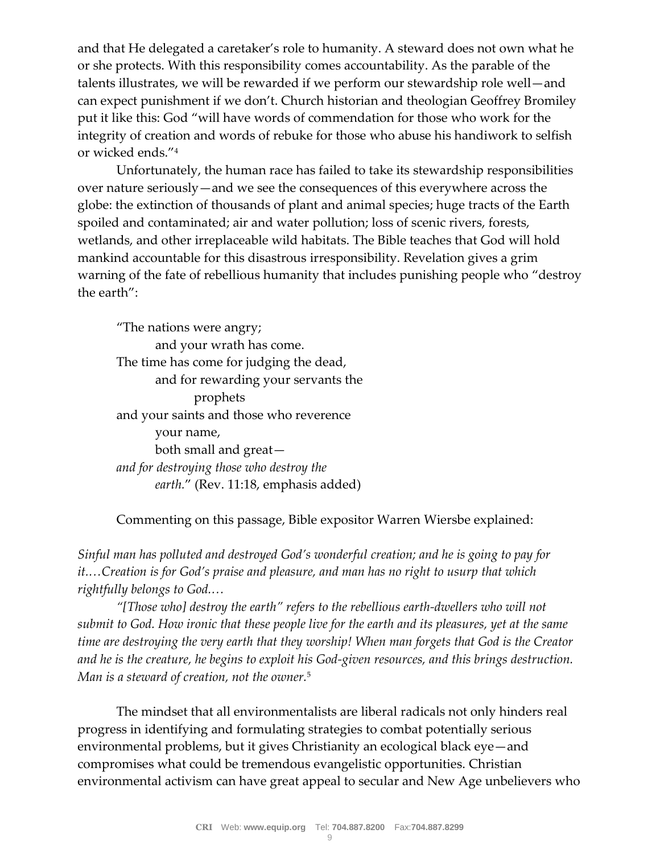and that He delegated a caretaker's role to humanity. A steward does not own what he or she protects. With this responsibility comes accountability. As the parable of the talents illustrates, we will be rewarded if we perform our stewardship role well—and can expect punishment if we don't. Church historian and theologian Geoffrey Bromiley put it like this: God "will have words of commendation for those who work for the integrity of creation and words of rebuke for those who abuse his handiwork to selfish or wicked ends."<sup>4</sup>

Unfortunately, the human race has failed to take its stewardship responsibilities over nature seriously—and we see the consequences of this everywhere across the globe: the extinction of thousands of plant and animal species; huge tracts of the Earth spoiled and contaminated; air and water pollution; loss of scenic rivers, forests, wetlands, and other irreplaceable wild habitats. The Bible teaches that God will hold mankind accountable for this disastrous irresponsibility. Revelation gives a grim warning of the fate of rebellious humanity that includes punishing people who "destroy the earth":

"The nations were angry; and your wrath has come. The time has come for judging the dead, and for rewarding your servants the prophets and your saints and those who reverence your name, both small and great *and for destroying those who destroy the earth.*" (Rev. 11:18, emphasis added)

Commenting on this passage, Bible expositor Warren Wiersbe explained:

*Sinful man has polluted and destroyed God's wonderful creation; and he is going to pay for it.…Creation is for God's praise and pleasure, and man has no right to usurp that which rightfully belongs to God.…*

*"[Those who] destroy the earth" refers to the rebellious earth-dwellers who will not submit to God. How ironic that these people live for the earth and its pleasures, yet at the same time are destroying the very earth that they worship! When man forgets that God is the Creator and he is the creature, he begins to exploit his God-given resources, and this brings destruction. Man is a steward of creation, not the owner.*<sup>5</sup>

The mindset that all environmentalists are liberal radicals not only hinders real progress in identifying and formulating strategies to combat potentially serious environmental problems, but it gives Christianity an ecological black eye—and compromises what could be tremendous evangelistic opportunities. Christian environmental activism can have great appeal to secular and New Age unbelievers who